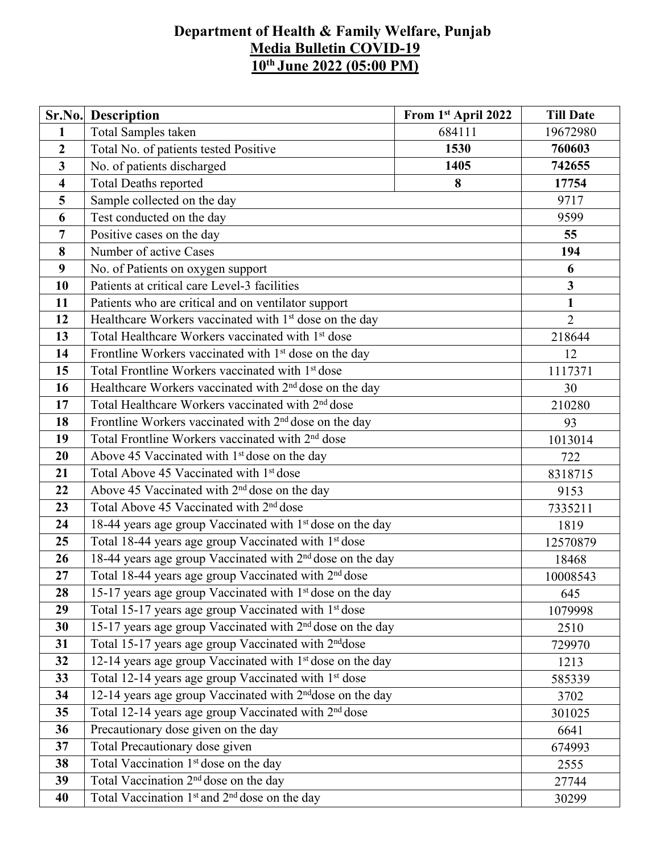## **Department of Health & Family Welfare, Punjab Media Bulletin COVID-19 10 th June 2022 (05:00 PM)**

|                         | <b>Sr.No.</b> Description                                             | From 1 <sup>st</sup> April 2022 | <b>Till Date</b>        |  |  |  |
|-------------------------|-----------------------------------------------------------------------|---------------------------------|-------------------------|--|--|--|
| $\mathbf{1}$            | Total Samples taken                                                   | 684111                          | 19672980                |  |  |  |
| $\overline{2}$          | Total No. of patients tested Positive                                 | 760603                          |                         |  |  |  |
| $\overline{3}$          | No. of patients discharged                                            | 742655                          |                         |  |  |  |
| $\overline{\mathbf{4}}$ | <b>Total Deaths reported</b>                                          | 17754                           |                         |  |  |  |
| 5                       | Sample collected on the day                                           |                                 | 9717                    |  |  |  |
| 6                       | Test conducted on the day                                             |                                 | 9599                    |  |  |  |
| 7                       | Positive cases on the day                                             |                                 | 55                      |  |  |  |
| 8                       | Number of active Cases                                                |                                 | 194                     |  |  |  |
| 9                       | No. of Patients on oxygen support                                     |                                 | 6                       |  |  |  |
| 10                      | Patients at critical care Level-3 facilities                          |                                 | $\overline{\mathbf{3}}$ |  |  |  |
| 11                      | Patients who are critical and on ventilator support                   |                                 | $\mathbf{1}$            |  |  |  |
| 12                      | Healthcare Workers vaccinated with 1 <sup>st</sup> dose on the day    |                                 | $\overline{2}$          |  |  |  |
| 13                      | Total Healthcare Workers vaccinated with 1 <sup>st</sup> dose         |                                 | 218644                  |  |  |  |
| 14                      | Frontline Workers vaccinated with 1 <sup>st</sup> dose on the day     |                                 | 12                      |  |  |  |
| 15                      | Total Frontline Workers vaccinated with 1 <sup>st</sup> dose          |                                 |                         |  |  |  |
| 16                      | Healthcare Workers vaccinated with 2 <sup>nd</sup> dose on the day    |                                 |                         |  |  |  |
| 17                      | Total Healthcare Workers vaccinated with 2 <sup>nd</sup> dose         |                                 |                         |  |  |  |
| 18                      | Frontline Workers vaccinated with $2nd$ dose on the day               |                                 |                         |  |  |  |
| 19                      | Total Frontline Workers vaccinated with 2 <sup>nd</sup> dose          |                                 |                         |  |  |  |
| 20                      | Above 45 Vaccinated with 1 <sup>st</sup> dose on the day              |                                 | 722                     |  |  |  |
| 21                      | Total Above 45 Vaccinated with 1 <sup>st</sup> dose                   |                                 | 8318715                 |  |  |  |
| 22                      | Above 45 Vaccinated with 2 <sup>nd</sup> dose on the day              |                                 |                         |  |  |  |
| 23                      | Total Above 45 Vaccinated with 2 <sup>nd</sup> dose                   |                                 | 9153<br>7335211         |  |  |  |
| 24                      | 18-44 years age group Vaccinated with 1 <sup>st</sup> dose on the day |                                 | 1819                    |  |  |  |
| 25                      | Total 18-44 years age group Vaccinated with 1 <sup>st</sup> dose      |                                 | 12570879                |  |  |  |
| 26                      | 18-44 years age group Vaccinated with 2 <sup>nd</sup> dose on the day |                                 | 18468                   |  |  |  |
| 27                      | Total 18-44 years age group Vaccinated with 2 <sup>nd</sup> dose      |                                 | 10008543                |  |  |  |
| 28                      | 15-17 years age group Vaccinated with 1 <sup>st</sup> dose on the day |                                 | 645                     |  |  |  |
| 29                      | Total 15-17 years age group Vaccinated with 1st dose                  |                                 | 1079998                 |  |  |  |
| 30                      | 15-17 years age group Vaccinated with 2 <sup>nd</sup> dose on the day |                                 | 2510                    |  |  |  |
| 31                      | Total 15-17 years age group Vaccinated with 2 <sup>nd</sup> dose      |                                 | 729970                  |  |  |  |
| 32                      | 12-14 years age group Vaccinated with 1 <sup>st</sup> dose on the day |                                 | 1213                    |  |  |  |
| 33                      | Total 12-14 years age group Vaccinated with 1 <sup>st</sup> dose      |                                 | 585339                  |  |  |  |
| 34                      | 12-14 years age group Vaccinated with 2 <sup>nd</sup> dose on the day |                                 |                         |  |  |  |
| 35                      | Total 12-14 years age group Vaccinated with 2 <sup>nd</sup> dose      |                                 | 301025                  |  |  |  |
| 36                      | Precautionary dose given on the day                                   |                                 |                         |  |  |  |
| 37                      | Total Precautionary dose given                                        |                                 | 6641<br>674993          |  |  |  |
| 38                      | Total Vaccination 1 <sup>st</sup> dose on the day                     |                                 | 2555                    |  |  |  |
| 39                      | Total Vaccination 2 <sup>nd</sup> dose on the day                     |                                 | 27744                   |  |  |  |
| 40                      | Total Vaccination 1 <sup>st</sup> and 2 <sup>nd</sup> dose on the day |                                 | 30299                   |  |  |  |
|                         |                                                                       |                                 |                         |  |  |  |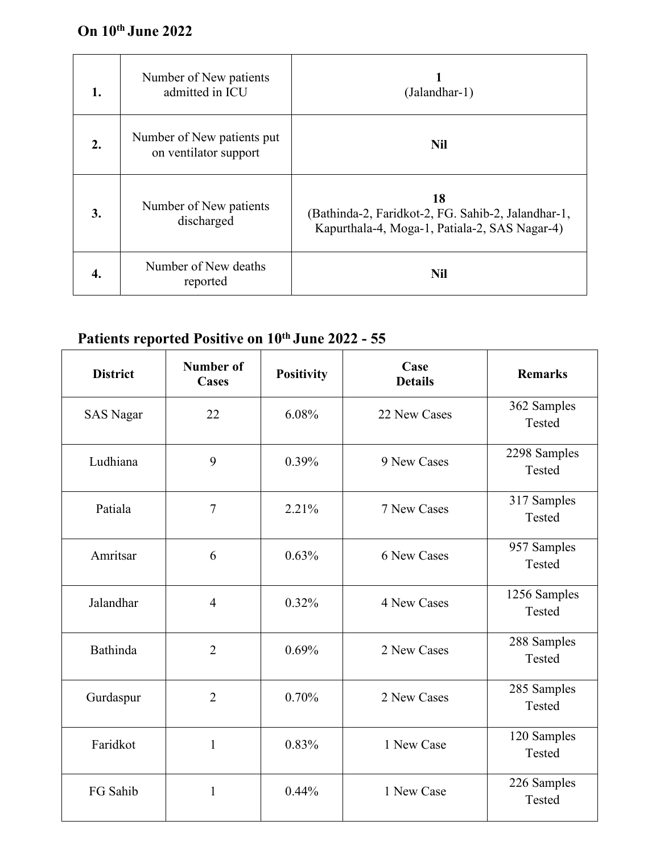## **On 10 th June 2022**

| 1. | Number of New patients<br>admitted in ICU           | (Jalandhar-1)                                                                                             |
|----|-----------------------------------------------------|-----------------------------------------------------------------------------------------------------------|
| 2. | Number of New patients put<br>on ventilator support | <b>Nil</b>                                                                                                |
| 3. | Number of New patients<br>discharged                | 18<br>(Bathinda-2, Faridkot-2, FG. Sahib-2, Jalandhar-1,<br>Kapurthala-4, Moga-1, Patiala-2, SAS Nagar-4) |
| 4. | Number of New deaths<br>reported                    | <b>Nil</b>                                                                                                |

## **Patients reported Positive on 10 th June 2022 - 55**

| <b>District</b>  | Number of<br>Cases | <b>Positivity</b> | Case<br><b>Details</b> | <b>Remarks</b>         |
|------------------|--------------------|-------------------|------------------------|------------------------|
| <b>SAS Nagar</b> | 22                 | 6.08%             | 22 New Cases           | 362 Samples<br>Tested  |
| Ludhiana         | 9                  | 0.39%             | 9 New Cases            | 2298 Samples<br>Tested |
| Patiala          | $\overline{7}$     | 2.21%             | 7 New Cases            | 317 Samples<br>Tested  |
| Amritsar         | 6                  | 0.63%             | 6 New Cases            | 957 Samples<br>Tested  |
| Jalandhar        | $\overline{4}$     | 0.32%             | 4 New Cases            | 1256 Samples<br>Tested |
| Bathinda         | $\overline{2}$     | 0.69%             | 2 New Cases            | 288 Samples<br>Tested  |
| Gurdaspur        | $\overline{2}$     | 0.70%             | 2 New Cases            | 285 Samples<br>Tested  |
| Faridkot         | $\mathbf{1}$       | 0.83%             | 1 New Case             | 120 Samples<br>Tested  |
| FG Sahib         | $\mathbf{1}$       | 0.44%             | 1 New Case             | 226 Samples<br>Tested  |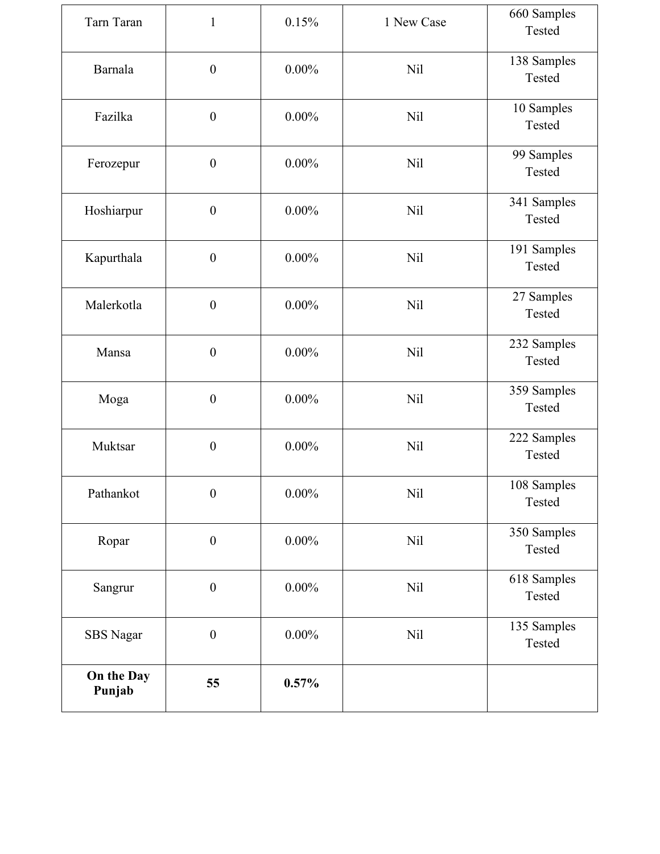| Tarn Taran           | $\mathbf{1}$     | 0.15%    | 1 New Case | 660 Samples<br>Tested |
|----------------------|------------------|----------|------------|-----------------------|
| Barnala              | $\boldsymbol{0}$ | $0.00\%$ | <b>Nil</b> | 138 Samples<br>Tested |
| Fazilka              | $\boldsymbol{0}$ | $0.00\%$ | <b>Nil</b> | 10 Samples<br>Tested  |
| Ferozepur            | $\boldsymbol{0}$ | $0.00\%$ | <b>Nil</b> | 99 Samples<br>Tested  |
| Hoshiarpur           | $\boldsymbol{0}$ | $0.00\%$ | <b>Nil</b> | 341 Samples<br>Tested |
| Kapurthala           | $\boldsymbol{0}$ | $0.00\%$ | <b>Nil</b> | 191 Samples<br>Tested |
| Malerkotla           | $\boldsymbol{0}$ | $0.00\%$ | <b>Nil</b> | 27 Samples<br>Tested  |
| Mansa                | $\boldsymbol{0}$ | $0.00\%$ | Nil        | 232 Samples<br>Tested |
| Moga                 | $\boldsymbol{0}$ | $0.00\%$ | <b>Nil</b> | 359 Samples<br>Tested |
| Muktsar              | $\boldsymbol{0}$ | $0.00\%$ | <b>Nil</b> | 222 Samples<br>Tested |
| Pathankot            | $\boldsymbol{0}$ | $0.00\%$ | <b>Nil</b> | 108 Samples<br>Tested |
| Ropar                | $\boldsymbol{0}$ | $0.00\%$ | <b>Nil</b> | 350 Samples<br>Tested |
| Sangrur              | $\boldsymbol{0}$ | $0.00\%$ | Nil        | 618 Samples<br>Tested |
| <b>SBS</b> Nagar     | $\boldsymbol{0}$ | $0.00\%$ | Nil        | 135 Samples<br>Tested |
| On the Day<br>Punjab | 55               | 0.57%    |            |                       |
|                      |                  |          |            |                       |